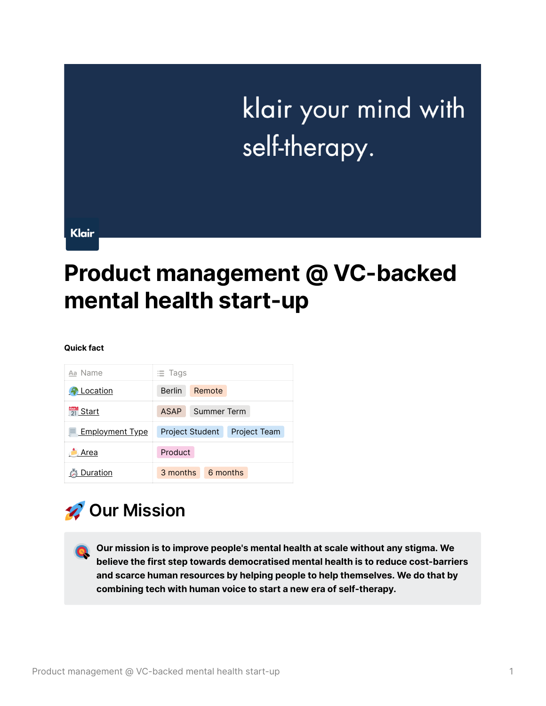# klair your mind with self-therapy.

Klair

## **Product management @ VC-backed mental health start-up**

#### **Quick fact**

| Aa Name                  | $\equiv$ Tags                                 |
|--------------------------|-----------------------------------------------|
| Location                 | <b>Berlin</b><br>Remote                       |
| $\frac{MAP}{21}$ Start   | ASAP<br>Summer Term                           |
| <b>E</b> Employment Type | <b>Project Student</b><br><b>Project Team</b> |
| Area                     | Product                                       |
| Duration                 | 3 months<br>6 months                          |

### **Our Mission**

 **Our mission is to improve people's mental health at scale without any stigma. We believe the first step towards democratised mental health is to reduce cost-barriers and scarce human resources by helping people to help themselves. We do that by combining tech with human voice to start a new era of self-therapy.**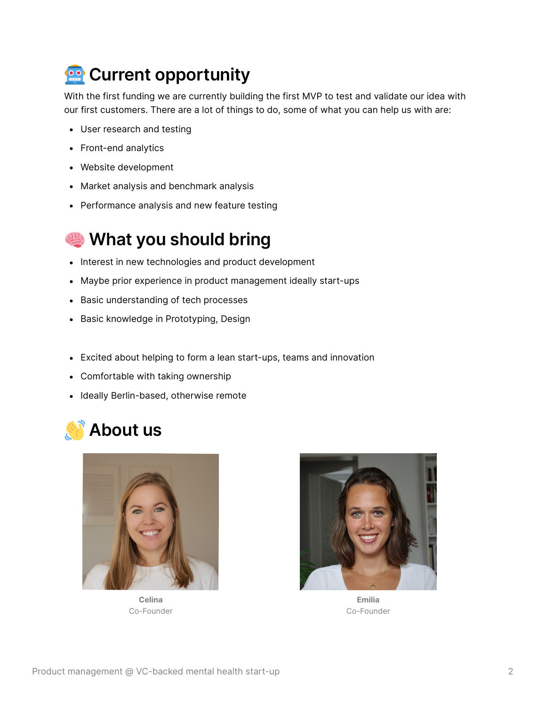

With the first funding we are currently building the first MVP to test and validate our idea with our first customers. There are a lot of things to do, some of what you can help us with are:

- User research and testing
- Front-end analytics
- Website development
- Market analysis and benchmark analysis
- Performance analysis and new feature testing

#### **What you should bring**

- Interest in new technologies and product development
- Maybe prior experience in product management ideally start-ups
- Basic understanding of tech processes
- Basic knowledge in Prototyping, Design
- Excited about helping to form a lean start-ups, teams and innovation
- Comfortable with taking ownership
- Ideally Berlin-based, otherwise remote





**Celina** Co-Founder



**Emilia** Co-Founder